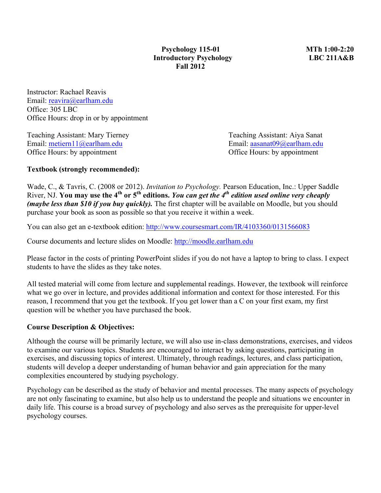Instructor: Rachael Reavis Email: reavira@earlham.edu Office: 305 LBC Office Hours: drop in or by appointment

Teaching Assistant: Mary Tierney Teaching Assistant: Aiya Sanat Email: <u>metiern11@earlham.edu</u> Email: aasanat09@earlham.edu<br>Office Hours: by appointment Office Hours: by appointment Office Hours: by appointment

## **Textbook (strongly recommended):**

Wade, C., & Tavris, C. (2008 or 2012). *Invitation to Psychology.* Pearson Education, Inc.: Upper Saddle River, NJ. **You may use the 4<sup>th</sup>** or  $5^{th}$  editions. *You can get the 4<sup>th</sup> edition used online very cheaply (maybe less than \$10 if you buy quickly)*. The first chapter will be available on Moodle, but you should purchase your book as soon as possible so that you receive it within a week.

You can also get an e-textbook edition: http://www.coursesmart.com/IR/4103360/0131566083

Course documents and lecture slides on Moodle: http://moodle.earlham.edu

Please factor in the costs of printing PowerPoint slides if you do not have a laptop to bring to class. I expect students to have the slides as they take notes.

All tested material will come from lecture and supplemental readings. However, the textbook will reinforce what we go over in lecture, and provides additional information and context for those interested. For this reason, I recommend that you get the textbook. If you get lower than a C on your first exam, my first question will be whether you have purchased the book.

### **Course Description & Objectives:**

Although the course will be primarily lecture, we will also use in-class demonstrations, exercises, and videos to examine our various topics. Students are encouraged to interact by asking questions, participating in exercises, and discussing topics of interest. Ultimately, through readings, lectures, and class participation, students will develop a deeper understanding of human behavior and gain appreciation for the many complexities encountered by studying psychology.

Psychology can be described as the study of behavior and mental processes. The many aspects of psychology are not only fascinating to examine, but also help us to understand the people and situations we encounter in daily life. This course is a broad survey of psychology and also serves as the prerequisite for upper-level psychology courses.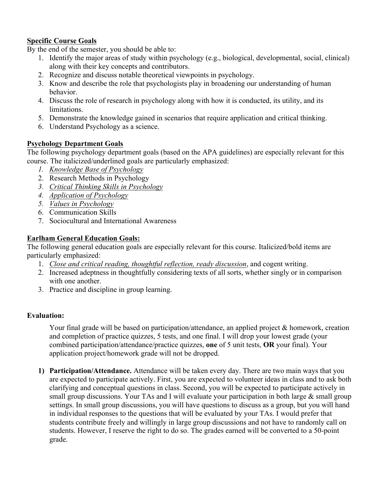# **Specific Course Goals**

By the end of the semester, you should be able to:

- 1. Identify the major areas of study within psychology (e.g., biological, developmental, social, clinical) along with their key concepts and contributors.
- 2. Recognize and discuss notable theoretical viewpoints in psychology.
- 3. Know and describe the role that psychologists play in broadening our understanding of human behavior.
- 4. Discuss the role of research in psychology along with how it is conducted, its utility, and its limitations.
- 5. Demonstrate the knowledge gained in scenarios that require application and critical thinking.
- 6. Understand Psychology as a science.

## **Psychology Department Goals**

The following psychology department goals (based on the APA guidelines) are especially relevant for this course. The italicized/underlined goals are particularly emphasized:

- *1. Knowledge Base of Psychology*
- 2. Research Methods in Psychology
- *3. Critical Thinking Skills in Psychology*
- *4. Application of Psychology*
- *5. Values in Psychology*
- 6. Communication Skills
- 7. Sociocultural and International Awareness

## **Earlham General Education Goals:**

The following general education goals are especially relevant for this course. Italicized/bold items are particularly emphasized:

- 1. *Close and critical reading, thoughtful reflection, ready discussion*, and cogent writing.
- 2. Increased adeptness in thoughtfully considering texts of all sorts, whether singly or in comparison with one another.
- 3. Practice and discipline in group learning.

### **Evaluation:**

Your final grade will be based on participation/attendance, an applied project & homework, creation and completion of practice quizzes, 5 tests, and one final. I will drop your lowest grade (your combined participation/attendance/practice quizzes, **one** of 5 unit tests, **OR** your final). Your application project/homework grade will not be dropped.

**1) Participation/Attendance.** Attendance will be taken every day. There are two main ways that you are expected to participate actively. First, you are expected to volunteer ideas in class and to ask both clarifying and conceptual questions in class. Second, you will be expected to participate actively in small group discussions. Your TAs and I will evaluate your participation in both large & small group settings. In small group discussions, you will have questions to discuss as a group, but you will hand in individual responses to the questions that will be evaluated by your TAs. I would prefer that students contribute freely and willingly in large group discussions and not have to randomly call on students. However, I reserve the right to do so. The grades earned will be converted to a 50-point grade.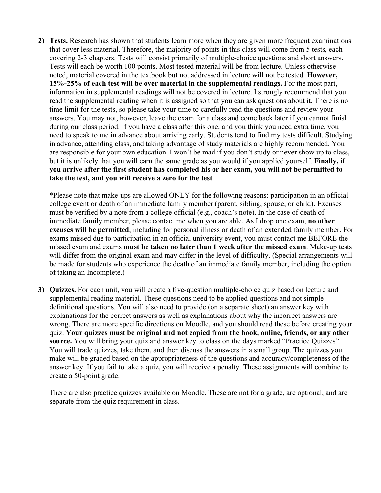**2) Tests.** Research has shown that students learn more when they are given more frequent examinations that cover less material. Therefore, the majority of points in this class will come from 5 tests, each covering 2-3 chapters. Tests will consist primarily of multiple-choice questions and short answers. Tests will each be worth 100 points. Most tested material will be from lecture. Unless otherwise noted, material covered in the textbook but not addressed in lecture will not be tested. **However, 15%-25% of each test will be over material in the supplemental readings.** For the most part, information in supplemental readings will not be covered in lecture. I strongly recommend that you read the supplemental reading when it is assigned so that you can ask questions about it. There is no time limit for the tests, so please take your time to carefully read the questions and review your answers. You may not, however, leave the exam for a class and come back later if you cannot finish during our class period. If you have a class after this one, and you think you need extra time, you need to speak to me in advance about arriving early. Students tend to find my tests difficult. Studying in advance, attending class, and taking advantage of study materials are highly recommended. You are responsible for your own education. I won't be mad if you don't study or never show up to class, but it is unlikely that you will earn the same grade as you would if you applied yourself. **Finally, if you arrive after the first student has completed his or her exam, you will not be permitted to take the test, and you will receive a zero for the test**.

\*Please note that make-ups are allowed ONLY for the following reasons: participation in an official college event or death of an immediate family member (parent, sibling, spouse, or child). Excuses must be verified by a note from a college official (e.g., coach's note). In the case of death of immediate family member, please contact me when you are able. As I drop one exam, **no other excuses will be permitted**, including for personal illness or death of an extended family member. For exams missed due to participation in an official university event, you must contact me BEFORE the missed exam and exams **must be taken no later than 1 week after the missed exam**. Make-up tests will differ from the original exam and may differ in the level of difficulty. (Special arrangements will be made for students who experience the death of an immediate family member, including the option of taking an Incomplete.)

**3) Quizzes.** For each unit, you will create a five-question multiple-choice quiz based on lecture and supplemental reading material. These questions need to be applied questions and not simple definitional questions. You will also need to provide (on a separate sheet) an answer key with explanations for the correct answers as well as explanations about why the incorrect answers are wrong. There are more specific directions on Moodle, and you should read these before creating your quiz. **Your quizzes must be original and not copied from the book, online, friends, or any other source.** You will bring your quiz and answer key to class on the days marked "Practice Quizzes". You will trade quizzes, take them, and then discuss the answers in a small group. The quizzes you make will be graded based on the appropriateness of the questions and accuracy/completeness of the answer key. If you fail to take a quiz, you will receive a penalty. These assignments will combine to create a 50-point grade.

There are also practice quizzes available on Moodle. These are not for a grade, are optional, and are separate from the quiz requirement in class.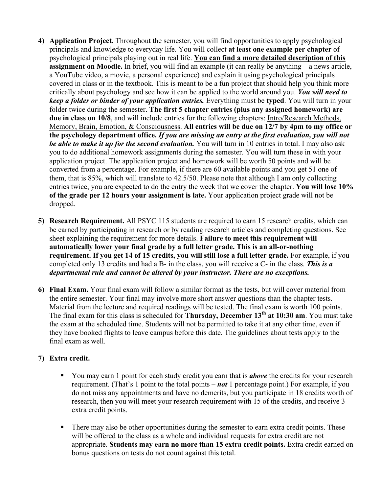- **4) Application Project.** Throughout the semester, you will find opportunities to apply psychological principals and knowledge to everyday life. You will collect **at least one example per chapter** of psychological principals playing out in real life. **You can find a more detailed description of this assignment on Moodle.** In brief, you will find an example (it can really be anything – a news article, a YouTube video, a movie, a personal experience) and explain it using psychological principals covered in class or in the textbook. This is meant to be a fun project that should help you think more critically about psychology and see how it can be applied to the world around you. *You will need to keep a folder or binder of your application entries.* Everything must be **typed**. You will turn in your folder twice during the semester. **The first 5 chapter entries (plus any assigned homework) are due in class on 10/8**, and will include entries for the following chapters: Intro/Research Methods, Memory, Brain, Emotion, & Consciousness. **All entries will be due on 12/7 by 4pm to my office or the psychology department office.** *If you are missing an entry at the first evaluation, you will not be able to make it up for the second evaluation.* You will turn in 10 entries in total. I may also ask you to do additional homework assignments during the semester. You will turn these in with your application project. The application project and homework will be worth 50 points and will be converted from a percentage. For example, if there are 60 available points and you get 51 one of them, that is 85%, which will translate to 42.5/50. Please note that although I am only collecting entries twice, you are expected to do the entry the week that we cover the chapter. **You will lose 10% of the grade per 12 hours your assignment is late.** Your application project grade will not be dropped.
- **5) Research Requirement.** All PSYC 115 students are required to earn 15 research credits, which can be earned by participating in research or by reading research articles and completing questions. See sheet explaining the requirement for more details. **Failure to meet this requirement will automatically lower your final grade by a full letter grade. This is an all-or-nothing requirement. If you get 14 of 15 credits, you will still lose a full letter grade.** For example, if you completed only 13 credits and had a B- in the class, you will receive a C- in the class. *This is a departmental rule and cannot be altered by your instructor. There are no exceptions.*
- **6) Final Exam.** Your final exam will follow a similar format as the tests, but will cover material from the entire semester. Your final may involve more short answer questions than the chapter tests. Material from the lecture and required readings will be tested. The final exam is worth 100 points. The final exam for this class is scheduled for **Thursday, December 13th at 10:30 am**. You must take the exam at the scheduled time. Students will not be permitted to take it at any other time, even if they have booked flights to leave campus before this date. The guidelines about tests apply to the final exam as well.

# **7) Extra credit.**

- § You may earn 1 point for each study credit you earn that is *above* the credits for your research requirement. (That's 1 point to the total points – *not* 1 percentage point.) For example, if you do not miss any appointments and have no demerits, but you participate in 18 credits worth of research, then you will meet your research requirement with 15 of the credits, and receive 3 extra credit points.
- There may also be other opportunities during the semester to earn extra credit points. These will be offered to the class as a whole and individual requests for extra credit are not appropriate. **Students may earn no more than 15 extra credit points.** Extra credit earned on bonus questions on tests do not count against this total.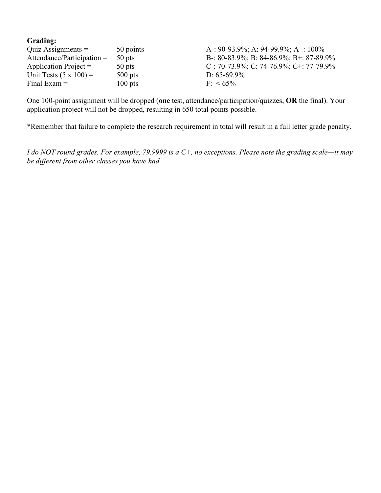| Quiz Assignments $=$          | 50 points | A-: 90-93.9%; A: 94-99.9%; A+: 100%     |
|-------------------------------|-----------|-----------------------------------------|
| Attendance/Participation $=$  | 50 pts    | B-: 80-83.9%; B: 84-86.9%; B+: 87-89.9% |
| Application Project $=$       | 50 pts    | C-: 70-73.9%; C: 74-76.9%; C+: 77-79.9% |
| Unit Tests $(5 \times 100) =$ | $500$ pts | D: $65-69.9\%$                          |
| Final Exam $=$                | $100$ pts | $F \le 65\%$                            |

One 100-point assignment will be dropped (**one** test, attendance/participation/quizzes, **OR** the final). Your application project will not be dropped, resulting in 650 total points possible.

\*Remember that failure to complete the research requirement in total will result in a full letter grade penalty.

*I do NOT round grades. For example, 79.9999 is a C+, no exceptions. Please note the grading scale—it may be different from other classes you have had.*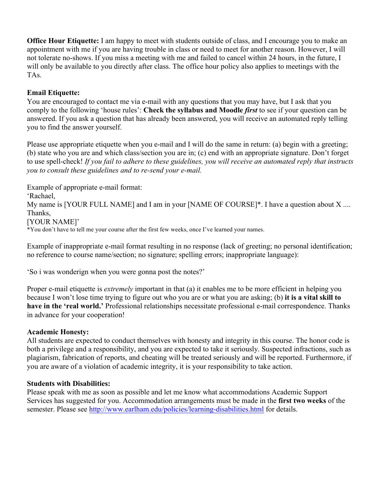**Office Hour Etiquette:** I am happy to meet with students outside of class, and I encourage you to make an appointment with me if you are having trouble in class or need to meet for another reason. However, I will not tolerate no-shows. If you miss a meeting with me and failed to cancel within 24 hours, in the future, I will only be available to you directly after class. The office hour policy also applies to meetings with the TAs.

# **Email Etiquette:**

You are encouraged to contact me via e-mail with any questions that you may have, but I ask that you comply to the following 'house rules': **Check the syllabus and Moodle** *first* to see if your question can be answered. If you ask a question that has already been answered, you will receive an automated reply telling you to find the answer yourself.

Please use appropriate etiquette when you e-mail and I will do the same in return: (a) begin with a greeting; (b) state who you are and which class/section you are in; (c) end with an appropriate signature. Don't forget to use spell-check! *If you fail to adhere to these guidelines, you will receive an automated reply that instructs you to consult these guidelines and to re-send your e-mail.*

Example of appropriate e-mail format: 'Rachael, My name is [YOUR FULL NAME] and I am in your [NAME OF COURSE]\*. I have a question about X .... Thanks, [YOUR NAME]' \*You don't have to tell me your course after the first few weeks, once I've learned your names.

Example of inappropriate e-mail format resulting in no response (lack of greeting; no personal identification; no reference to course name/section; no signature; spelling errors; inappropriate language):

'So i was wonderign when you were gonna post the notes?'

Proper e-mail etiquette is *extremely* important in that (a) it enables me to be more efficient in helping you because I won't lose time trying to figure out who you are or what you are asking; (b) **it is a vital skill to have in the 'real world.'** Professional relationships necessitate professional e-mail correspondence. Thanks in advance for your cooperation!

### **Academic Honesty:**

All students are expected to conduct themselves with honesty and integrity in this course. The honor code is both a privilege and a responsibility, and you are expected to take it seriously. Suspected infractions, such as plagiarism, fabrication of reports, and cheating will be treated seriously and will be reported. Furthermore, if you are aware of a violation of academic integrity, it is your responsibility to take action.

### **Students with Disabilities:**

Please speak with me as soon as possible and let me know what accommodations Academic Support Services has suggested for you. Accommodation arrangements must be made in the **first two weeks** of the semester. Please see http://www.earlham.edu/policies/learning-disabilities.html for details.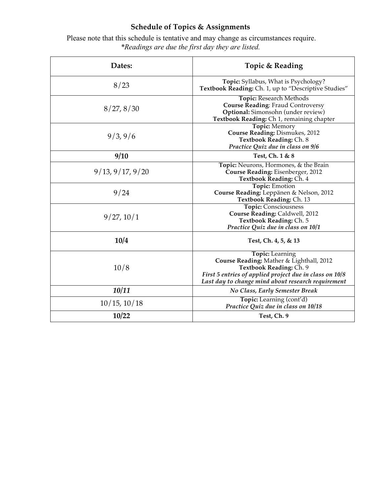# **Schedule of Topics & Assignments**

Please note that this schedule is tentative and may change as circumstances require. *\*Readings are due the first day they are listed.*

| Dates:           | Topic & Reading                                                                                                                                                                                                |
|------------------|----------------------------------------------------------------------------------------------------------------------------------------------------------------------------------------------------------------|
| 8/23             | Topic: Syllabus, What is Psychology?<br>Textbook Reading: Ch. 1, up to "Descriptive Studies"                                                                                                                   |
| 8/27, 8/30       | Topic: Research Methods<br><b>Course Reading: Fraud Controversy</b><br>Optional: Simonsohn (under review)<br>Textbook Reading: Ch 1, remaining chapter                                                         |
| 9/3, 9/6         | Topic: Memory<br>Course Reading: Dismukes, 2012<br>Textbook Reading: Ch. 8<br>Practice Quiz due in class on 9/6                                                                                                |
| 9/10             | Test, Ch. 1 & 8                                                                                                                                                                                                |
| 9/13, 9/17, 9/20 | Topic: Neurons, Hormones, & the Brain<br>Course Reading: Eisenberger, 2012<br>Textbook Reading: Ch. 4                                                                                                          |
| 9/24             | <b>Topic: Emotion</b><br>Course Reading: Leppänen & Nelson, 2012<br>Textbook Reading: Ch. 13                                                                                                                   |
| 9/27, 10/1       | <b>Topic: Consciousness</b><br>Course Reading: Caldwell, 2012<br>Textbook Reading: Ch. 5<br>Practice Quiz due in class on 10/1                                                                                 |
| 10/4             | Test, Ch. 4, 5, & 13                                                                                                                                                                                           |
| 10/8             | <b>Topic:</b> Learning<br>Course Reading: Mather & Lighthall, 2012<br>Textbook Reading: Ch. 9<br>First 5 entries of applied project due in class on 10/8<br>Last day to change mind about research requirement |
| 10/11            | No Class, Early Semester Break                                                                                                                                                                                 |
| 10/15, 10/18     | Topic: Learning (cont'd)<br>Practice Quiz due in class on 10/18                                                                                                                                                |
| 10/22            | Test, Ch. 9                                                                                                                                                                                                    |